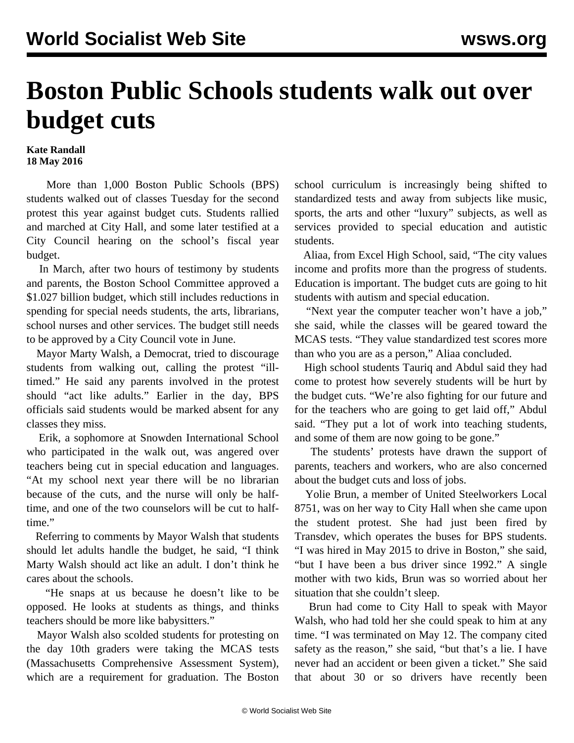## **Boston Public Schools students walk out over budget cuts**

## **Kate Randall 18 May 2016**

 More than 1,000 Boston Public Schools (BPS) students walked out of classes Tuesday for the second protest this year against budget cuts. Students rallied and marched at City Hall, and some later testified at a City Council hearing on the school's fiscal year budget.

 In March, after two hours of testimony by students and parents, the Boston School Committee approved a \$1.027 billion budget, which still includes reductions in spending for special needs students, the arts, librarians, school nurses and other services. The budget still needs to be approved by a City Council vote in June.

 Mayor Marty Walsh, a Democrat, tried to discourage students from walking out, calling the protest "illtimed." He said any parents involved in the protest should "act like adults." Earlier in the day, BPS officials said students would be marked absent for any classes they miss.

 Erik, a sophomore at Snowden International School who participated in the walk out, was angered over teachers being cut in special education and languages. "At my school next year there will be no librarian because of the cuts, and the nurse will only be halftime, and one of the two counselors will be cut to halftime."

 Referring to comments by Mayor Walsh that students should let adults handle the budget, he said, "I think Marty Walsh should act like an adult. I don't think he cares about the schools.

 "He snaps at us because he doesn't like to be opposed. He looks at students as things, and thinks teachers should be more like babysitters."

 Mayor Walsh also scolded students for protesting on the day 10th graders were taking the MCAS tests (Massachusetts Comprehensive Assessment System), which are a requirement for graduation. The Boston

school curriculum is increasingly being shifted to standardized tests and away from subjects like music, sports, the arts and other "luxury" subjects, as well as services provided to special education and autistic students.

 Aliaa, from Excel High School, said, "The city values income and profits more than the progress of students. Education is important. The budget cuts are going to hit students with autism and special education.

 "Next year the computer teacher won't have a job," she said, while the classes will be geared toward the MCAS tests. "They value standardized test scores more than who you are as a person," Aliaa concluded.

 High school students Tauriq and Abdul said they had come to protest how severely students will be hurt by the budget cuts. "We're also fighting for our future and for the teachers who are going to get laid off," Abdul said. "They put a lot of work into teaching students, and some of them are now going to be gone."

 The students' protests have drawn the support of parents, teachers and workers, who are also concerned about the budget cuts and loss of jobs.

 Yolie Brun, a member of United Steelworkers Local 8751, was on her way to City Hall when she came upon the student protest. She had just been fired by Transdev, which operates the buses for BPS students. "I was hired in May 2015 to drive in Boston," she said, "but I have been a bus driver since 1992." A single mother with two kids, Brun was so worried about her situation that she couldn't sleep.

 Brun had come to City Hall to speak with Mayor Walsh, who had told her she could speak to him at any time. "I was terminated on May 12. The company cited safety as the reason," she said, "but that's a lie. I have never had an accident or been given a ticket." She said that about 30 or so drivers have recently been